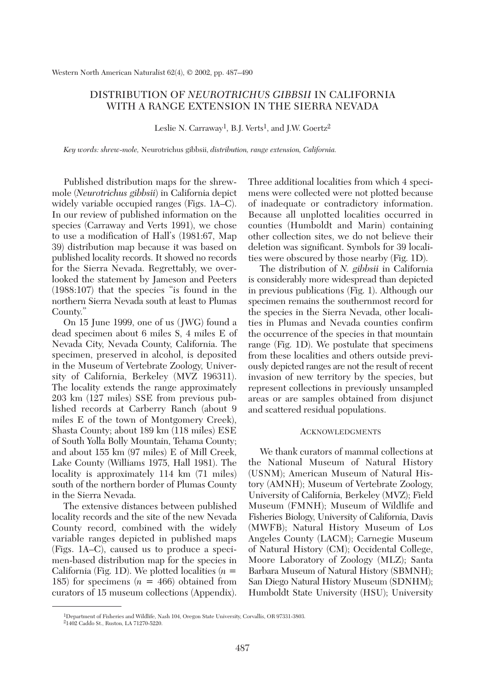## DISTRIBUTION OF *NEUROTRICHUS GIBBSII* IN CALIFORNIA WITH A RANGE EXTENSION IN THE SIERRA NEVADA

Leslie N. Carraway<sup>1</sup>, B.J. Verts<sup>1</sup>, and J.W. Goertz<sup>2</sup>

*Key words: shrew-mole,* Neurotrichus gibbsii, *distribution, range extension, California.*

Published distribution maps for the shrewmole (*Neurotrichus gibbsii*) in California depict widely variable occupied ranges (Figs. 1A–C). In our review of published information on the species (Carraway and Verts 1991), we chose to use a modification of Hall's (1981:67, Map 39) distribution map because it was based on published locality records. It showed no records for the Sierra Nevada. Regrettably, we overlooked the statement by Jameson and Peeters (1988:107) that the species "is found in the northern Sierra Nevada south at least to Plumas County."

On 15 June 1999, one of us (JWG) found a dead specimen about 6 miles S, 4 miles E of Nevada City, Nevada County, California. The specimen, preserved in alcohol, is deposited in the Museum of Vertebrate Zoology, University of California, Berkeley (MVZ 196311). The locality extends the range approximately 203 km (127 miles) SSE from previous published records at Carberry Ranch (about 9 miles E of the town of Montgomery Creek), Shasta County; about 189 km (118 miles) ESE of South Yolla Bolly Mountain, Tehama County; and about 155 km (97 miles) E of Mill Creek, Lake County (Williams 1975, Hall 1981). The locality is approximately 114 km (71 miles) south of the northern border of Plumas County in the Sierra Nevada.

The extensive distances between published locality records and the site of the new Nevada County record, combined with the widely variable ranges depicted in published maps (Figs. 1A–C), caused us to produce a specimen-based distribution map for the species in California (Fig. 1D). We plotted localities (*n* = 185) for specimens  $(n = 466)$  obtained from curators of 15 museum collections (Appendix). Three additional localities from which 4 specimens were collected were not plotted because of inadequate or contradictory information. Because all unplotted localities occurred in counties (Humboldt and Marin) containing other collection sites, we do not believe their deletion was significant. Symbols for 39 localities were obscured by those nearby (Fig. 1D).

The distribution of *N. gibbsii* in California is considerably more widespread than depicted in previous publications (Fig. 1). Although our specimen remains the southernmost record for the species in the Sierra Nevada, other localities in Plumas and Nevada counties confirm the occurrence of the species in that mountain range (Fig. 1D). We postulate that specimens from these localities and others outside previously depicted ranges are not the result of recent invasion of new territory by the species, but represent collections in previously unsampled areas or are samples obtained from disjunct and scattered residual populations.

## ACKNOWLEDGMENTS

We thank curators of mammal collections at the National Museum of Natural History (USNM); American Museum of Natural History (AMNH); Museum of Vertebrate Zoology, University of California, Berkeley (MVZ); Field Museum (FMNH); Museum of Wildlife and Fisheries Biology, University of California, Davis (MWFB); Natural History Museum of Los Angeles County (LACM); Carnegie Museum of Natural History (CM); Occidental College, Moore Laboratory of Zoology (MLZ); Santa Barbara Museum of Natural History (SBMNH); San Diego Natural History Museum (SDNHM); Humboldt State University (HSU); University

<sup>1</sup>Department of Fisheries and Wildlife, Nash 104, Oregon State University, Corvallis, OR 97331-3803.

<sup>21402</sup> Caddo St., Ruston, LA 71270-5220.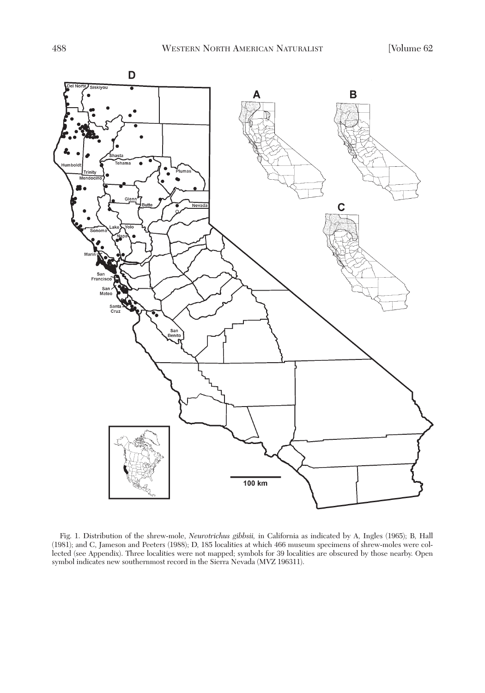

Fig. 1. Distribution of the shrew-mole, *Neurotrichus gibbsii,* in California as indicated by A, Ingles (1965); B, Hall (1981); and C, Jameson and Peeters (1988); D, 185 localities at which 466 museum specimens of shrew-moles were collected (see Appendix). Three localities were not mapped; symbols for 39 localities are obscured by those nearby. Open symbol indicates new southernmost record in the Sierra Nevada (MVZ 196311).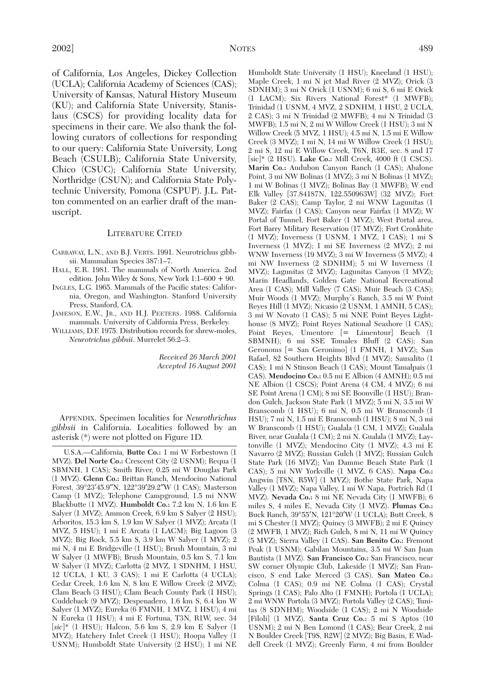of California, Los Angeles, Dickey Collection (UCLA); California Academy of Sciences (CAS); University of Kansas, Natural History Museum (KU); and California State University, Stanislaus (CSCS) for providing locality data for specimens in their care. We also thank the following curators of collections for responding to our query: California State University, Long Beach (CSULB); California State University, Chico (CSUC); California State University, Northridge (CSUN); and California State Polytechnic University, Pomona (CSPUP). J.L. Patton commented on an earlier draft of the manuscript.

## LITERATURE CITED

- CARRAWAY, L.N., AND B.J. VERTS. 1991. Neurotrichus gibbsii. Mammalian Species 387:1–7.
- HALL, E.R. 1981. The mammals of North America. 2nd edition. John Wiley & Sons, New York 1:1–600 + 90.
- INGLES, L.G. 1965. Mammals of the Pacific states: California, Oregon, and Washington. Stanford University Press, Stanford, CA.
- JAMESON, E.W., JR., AND H.J. PEETERS. 1988. California mammals. University of California Press, Berkeley.
- WILLIAMS, D.F. 1975. Distribution records for shrew-moles, *Neurotrichus gibbsii*. Murrelet 56:2–3.

*Received 26 March 2001 Accepted 16 August 2001* 

APPENDIX. Specimen localities for *Neurothrichus gibbsii* in California. Localities followed by an asterisk (\*) were not plotted on Figure 1D.

U.S.A.—California, **Butte Co.:** 1 mi W Forbestown (1 MVZ). **Del Norte Co.:** Crescent City (2 USNM); Requa (1 SBMNH, 1 CAS); Smith River, 0.25 mi W Douglas Park (1 MVZ). **Glenn Co.:** Brittan Ranch, Mendocino National Forest, 39°23′45.9″N, 122°39′29.2″W (1 CAS); Masterson Camp (1 MVZ); Telephone Campground, 1.5 mi NNW Blackbutte (1 MVZ). **Humboldt Co.:** 7.2 km N, 1.6 km E Salyer (1 MVZ); Ammon Creek, 6.9 km S Salyer (2 HSU); Arboritos, 15.3 km S, 1.9 km W Salyer (1 MVZ); Arcata (1 MVZ, 5 HSU); 1 mi E Arcata (1 LACM); Big Lagoon (3 MVZ); Big Rock, 5.5 km S, 3.9 km W Salyer (1 MVZ); 2 mi N, 4 mi E Bridgeville (1 HSU); Brush Mountain, 3 mi W Salyer (1 MWFB); Brush Mountain, 0.5 km S, 7.1 km W Salyer (1 MVZ); Carlotta (2 MVZ, 1 SDNHM, 1 HSU, 12 UCLA, 1 KU, 3 CAS); 1 mi E Carlotta (4 UCLA); Cedar Creek, 1.6 km N, 8 km E Willow Creek (2 MVZ); Clam Beach (3 HSU); Clam Beach County Park (1 HSU); Cuddeback (9 MVZ); Despenadero, 1.6 km S, 6.4 km W Salyer (1 MVZ); Eureka (6 FMNH, 1 MVZ, 1 HSU); 4 mi N Eureka (1 HSU); 4 mi E Fortuna, T3N, R1W, sec. 34 [*sic*]\* (1 HSU); Halcon, 5.6 km S, 2.9 km E Salyer (1 MVZ); Hatchery Inlet Creek (1 HSU); Hoopa Valley (1 USNM); Humboldt State University (2 HSU); 1 mi NE

Humboldt State University (1 HSU); Kneeland (1 HSU); Maple Creek, 1 mi N jct Mad River (2 MVZ); Orick (3 SDNHM); 3 mi N Orick (1 USNM); 6 mi S, 6 mi E Orick (1 LACM); Six Rivers National Forest\* (1 MWFB); Trinidad (1 USNM, 4 MVZ, 2 SDNHM, 1 HSU, 2 UCLA, 2 CAS); 3 mi N Trinidad (2 MWFB); 4 mi N Trinidad (3 MWFB); 1.5 mi N, 2 mi W Willow Creek (1 HSU); 3 mi N Willow Creek (5 MVZ, 1 HSU); 4.5 mi N, 1.5 mi E Willow Creek (3 MVZ); 1 mi N, 14 mi W Willow Creek (1 HSU); 2 mi S, 12 mi E Willow Creek, T6N, R3E, sec. 8 and 17 [sic]\* (2 HSU). **Lake Co.:** Mill Creek, 4000 ft (1 CSCS). **Marin Co.:** Audubon Canyon Ranch (1 CAS); Abalone Point, 3 mi NW Bolinas (1 MVZ); 3 mi N Bolinas (1 MVZ); 1 mi W Bolinas (1 MVZ); Bolinas Bay (1 MWFB); W end Elk Valley [37.84187N, 122.550963W] (32 MVZ); Fort Baker (2 CAS); Camp Taylor, 2 mi WNW Lagunitas (1 MVZ); Fairfax (1 CAS); Canyon near Fairfax (1 MVZ); W Portal of Tunnel, Fort Baker (1 MVZ); West Portal area, Fort Barry Military Reservation (17 MVZ); Fort Cronkhite (1 MVZ); Inverness (1 USNM, 1 MVZ, 1 CAS); 1 mi S Inverness (1 MVZ); 1 mi SE Inverness (2 MVZ); 2 mi WNW Inverness (19 MVZ); 3 mi W Inverness (5 MVZ); 4 mi NW Inverness (2 SDNHM); 5 mi W Inverness (1 MVZ); Lagunitas (2 MVZ); Lagunitas Canyon (1 MVZ); Marin Headlands, Golden Gate National Recreational Area (1 CAS); Mill Valley (7 CAS); Muir Beach (3 CAS); Muir Woods (1 MVZ); Murphy's Ranch, 3.5 mi W Point Reyes Hill (1 MVZ); Nicasio (2 USNM, 1 AMNH, 5 CAS); 3 mi W Novato (1 CAS); 5 mi NNE Point Reyes Lighthouse (8 MVZ); Point Reyes National Seashore (1 CAS); Point Reyes, Umentore [= Limentour] Beach (1 SBMNH); 6 mi SSE Tomales Bluff (2 CAS); San Geronoms [= San Geronimo] (1 FMNH, 1 MVZ); San Rafael, 82 Southern Heights Blvd (1 MVZ); Sausalito (1 CAS); 1 mi N Stinson Beach (1 CAS); Mount Tamalpais (1 CAS). **Mendocino Co.:** 0.5 mi E Albion (4 AMNH); 0.5 mi NE Albion (1 CSCS); Point Arena (4 CM, 4 MVZ); 6 mi SE Point Arena (1 CM); 8 mi SE Boonville (1 HSU); Brandon Gulch, Jackson State Park (1 MVZ); 5 mi N, 3.5 mi W Branscomb (1 HSU); 6 mi N, 0.5 mi W Branscomb (1 HSU); 7 mi N, 1.5 mi E Branscomb (1 HSU); 8 mi N, 3 mi W Branscomb (1 HSU); Gualala (1 CM, 1 MVZ); Gualala River, near Gualala (1 CM); 2 mi N. Gualala (1 MVZ); Laytonville (1 MVZ); Mendocino City (1 MVZ); 4.3 mi E Navarro (2 MVZ); Russian Gulch (1 MVZ); Russian Gulch State Park (16 MVZ); Van Damme Beach State Park (1 CAS); 5 mi NW Yorkville (1 MVZ, 6 CAS). **Napa Co.:** Angwin [T8N, R5W] (1 MVZ); Bothe State Park, Napa Valley (1 MVZ); Napa Valley, 1 mi W Napa, Portrich Rd (1 MVZ). **Nevada Co.:** 8 mi NE Nevada City (1 MWFB); 6 miles S, 4 miles E, Nevada City (1 MVZ). **Plumas Co.:** Buck Ranch, 39°55′N, 121°20′W (1 UCLA); Butt Creek, 8 mi S Chester (1 MVZ); Quincy (3 MWFB); 2 mi E Quincy (2 MWFB, 1 MVZ); Rich Gulch, 8 mi N, 11 mi W Quincy (5 MVZ); Sierra Valley (1 CAS). **San Benito Co.:** Fremont Peak (1 USNM); Gabilan Mountains, 3.5 mi W San Juan Bautista (1 MVZ). **San Francisco Co.:** San Francisco, near SW corner Olympic Club, Lakeside (1 MVZ); San Francisco, S end Lake Merced (3 CAS). **San Mateo Co.:** Colma (1 CAS); 0.9 mi NE Colma (1 CAS); Crystal Springs (1 CAS); Palo Alto (1 FMNH); Portola (1 UCLA); 2 mi WNW Portola (3 MVZ); Portola Valley (2 CAS); Tunitas (8 SDNHM); Woodside (1 CAS); 2 mi N Woodside [Filoli] (1 MVZ). **Santa Cruz Co.:** 5 mi S Aptos (10 USNM); 2 mi N Ben Lomond (1 CAS); Bear Creek, 2 mi N Boulder Creek [T9S, R2W] (2 MVZ); Big Basin, E Waddell Creek (1 MVZ); Greenly Farm, 4 mi from Boulder